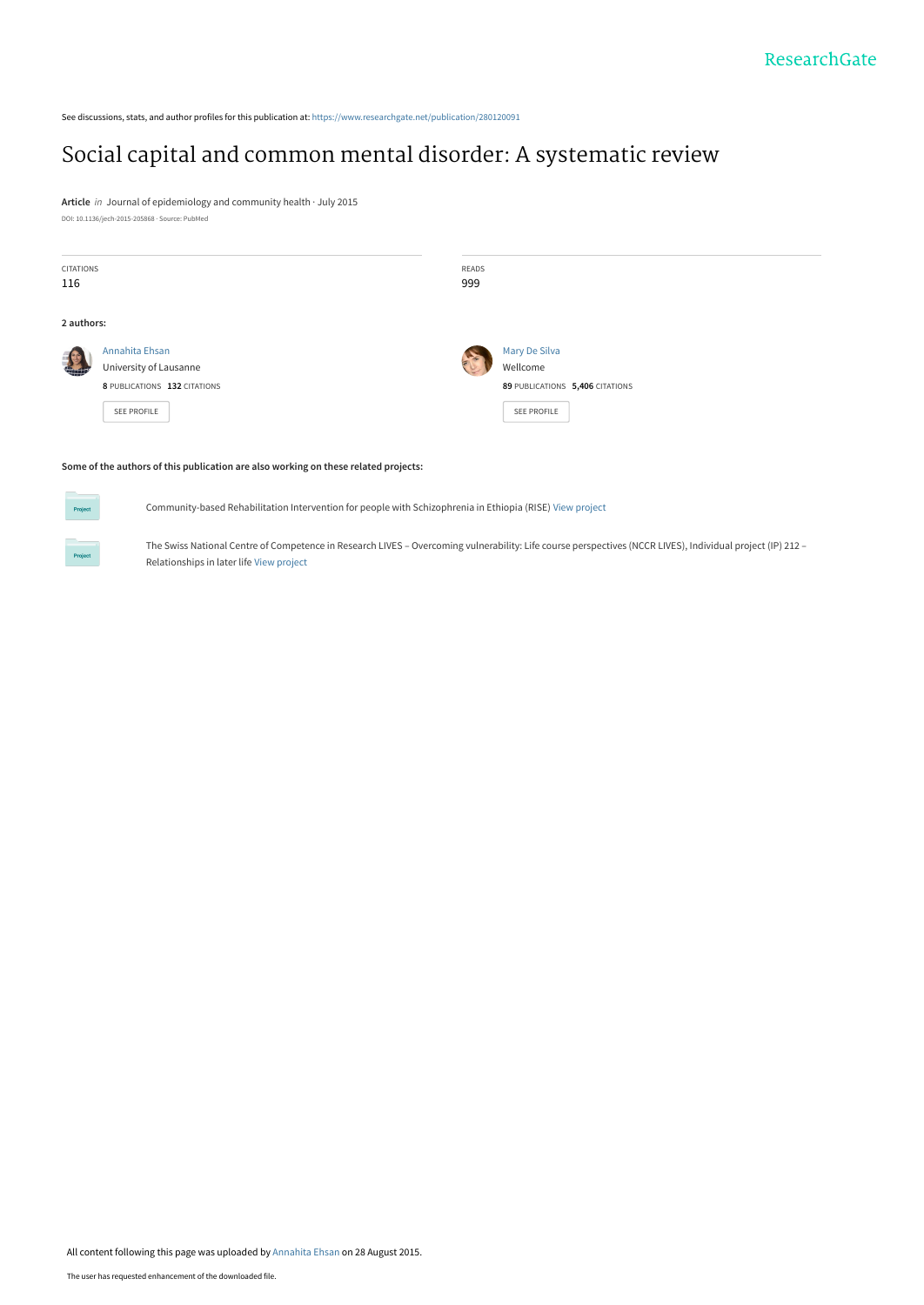See discussions, stats, and author profiles for this publication at: [https://www.researchgate.net/publication/280120091](https://www.researchgate.net/publication/280120091_Social_capital_and_common_mental_disorder_A_systematic_review?enrichId=rgreq-807c14d6971fc2a6d36697869670d870-XXX&enrichSource=Y292ZXJQYWdlOzI4MDEyMDA5MTtBUzoyNjc0MjQ0NDg2NDMxMTdAMTQ0MDc3MDM2NTg1Nw%3D%3D&el=1_x_2&_esc=publicationCoverPdf)

## [Social capital and common mental disorder: A systematic review](https://www.researchgate.net/publication/280120091_Social_capital_and_common_mental_disorder_A_systematic_review?enrichId=rgreq-807c14d6971fc2a6d36697869670d870-XXX&enrichSource=Y292ZXJQYWdlOzI4MDEyMDA5MTtBUzoyNjc0MjQ0NDg2NDMxMTdAMTQ0MDc3MDM2NTg1Nw%3D%3D&el=1_x_3&_esc=publicationCoverPdf)

**Article** in Journal of epidemiology and community health · July 2015 DOI: 10.1136/jech-2015-205868 · Source: PubMed

| <b>CITATIONS</b> |                              | READS                |                                 |  |  |  |
|------------------|------------------------------|----------------------|---------------------------------|--|--|--|
| 116              |                              | 999                  |                                 |  |  |  |
|                  |                              |                      |                                 |  |  |  |
| 2 authors:       |                              |                      |                                 |  |  |  |
| FO               | Annahita Ehsan               |                      | Mary De Silva                   |  |  |  |
|                  | University of Lausanne       | $\frac{1}{\sqrt{2}}$ | Wellcome                        |  |  |  |
|                  | 8 PUBLICATIONS 132 CITATIONS |                      | 89 PUBLICATIONS 5,406 CITATIONS |  |  |  |
|                  | <b>SEE PROFILE</b>           |                      | <b>SEE PROFILE</b>              |  |  |  |
|                  |                              |                      |                                 |  |  |  |

#### **Some of the authors of this publication are also working on these related projects:**



Community-based Rehabilitation Intervention for people with Schizophrenia in Ethiopia (RISE) [View project](https://www.researchgate.net/project/Community-based-Rehabilitation-Intervention-for-people-with-Schizophrenia-in-Ethiopia-RISE?enrichId=rgreq-807c14d6971fc2a6d36697869670d870-XXX&enrichSource=Y292ZXJQYWdlOzI4MDEyMDA5MTtBUzoyNjc0MjQ0NDg2NDMxMTdAMTQ0MDc3MDM2NTg1Nw%3D%3D&el=1_x_9&_esc=publicationCoverPdf)



The Swiss National Centre of Competence in Research LIVES – Overcoming vulnerability: Life course perspectives (NCCR LIVES), Individual project (IP) 212 – Relationships in later life [View project](https://www.researchgate.net/project/The-Swiss-National-Centre-of-Competence-in-Research-LIVES-Overcoming-vulnerability-Life-course-perspectives-NCCR-LIVES-Individual-project-IP-212-Relationships-in-later-life?enrichId=rgreq-807c14d6971fc2a6d36697869670d870-XXX&enrichSource=Y292ZXJQYWdlOzI4MDEyMDA5MTtBUzoyNjc0MjQ0NDg2NDMxMTdAMTQ0MDc3MDM2NTg1Nw%3D%3D&el=1_x_9&_esc=publicationCoverPdf)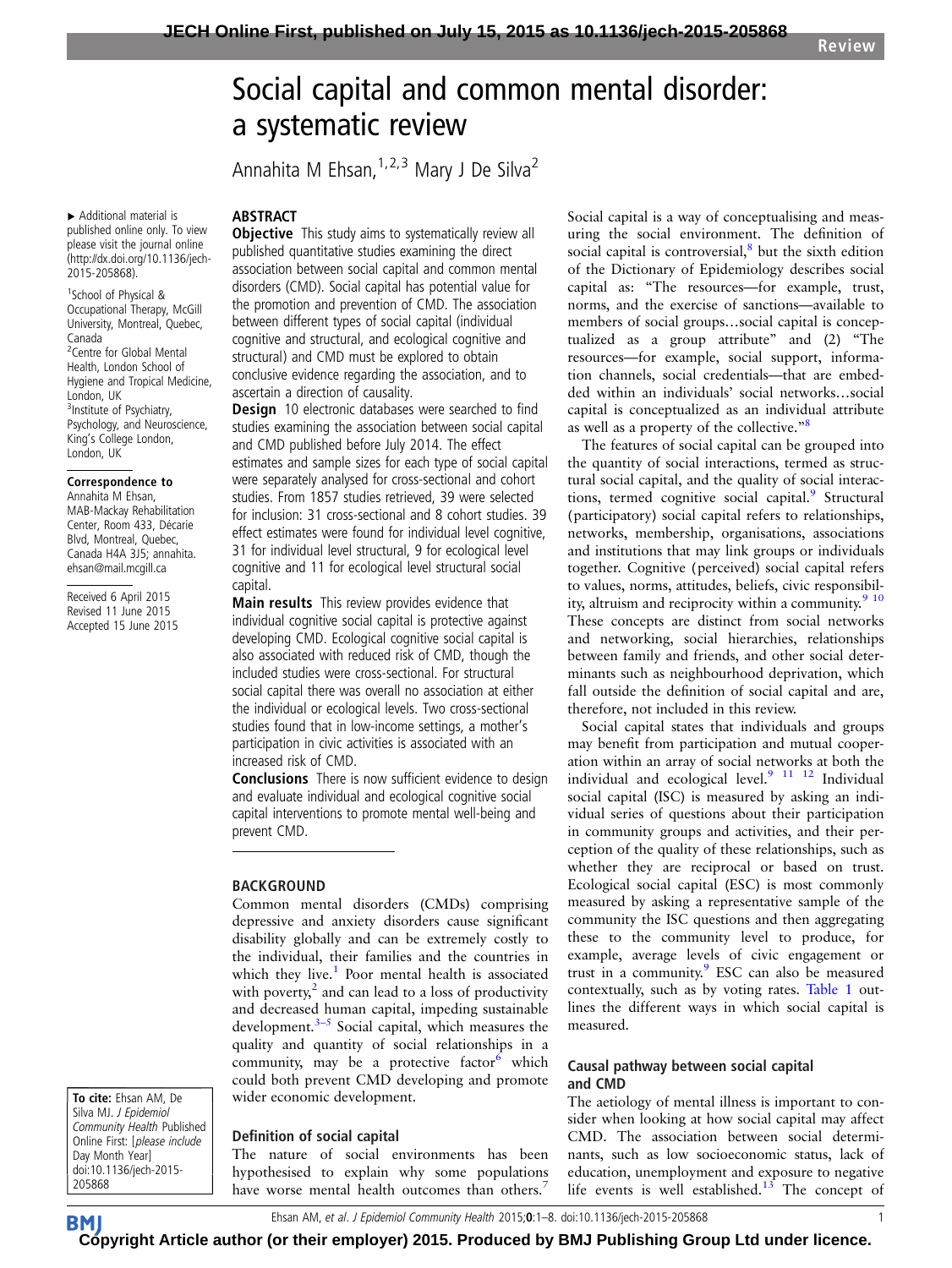# Social capital and common mental disorder: a systematic review

Annahita M Ehsan,  $1,2,3$  Mary J De Silva<sup>2</sup>

▸ Additional material is published online only. To view please visit the journal online [\(http://dx.doi.org/10.1136/jech-](http://dx.doi.org/10.1136/jech-2015-205868)[2015-205868\)](http://dx.doi.org/10.1136/jech-2015-205868).

1 School of Physical & Occupational Therapy, McGill University, Montreal, Quebec, Canada <sup>2</sup> Centre for Global Mental Health, London School of Hygiene and Tropical Medicine, London, UK <sup>3</sup>Institute of Psychiatry, Psychology, and Neuroscience, King's College London, London, UK

#### Correspondence to

Annahita M Ehsan, MAB-Mackay Rehabilitation Center, Room 433, Décarie Blvd, Montreal, Quebec, Canada H4A 3J5; annahita. ehsan@mail.mcgill.ca

Received 6 April 2015 Revised 11 June 2015 Accepted 15 June 2015

## ABSTRACT

**Objective** This study aims to systematically review all published quantitative studies examining the direct association between social capital and common mental disorders (CMD). Social capital has potential value for the promotion and prevention of CMD. The association between different types of social capital (individual cognitive and structural, and ecological cognitive and structural) and CMD must be explored to obtain conclusive evidence regarding the association, and to ascertain a direction of causality.

**Design** 10 electronic databases were searched to find studies examining the association between social capital and CMD published before July 2014. The effect estimates and sample sizes for each type of social capital were separately analysed for cross-sectional and cohort studies. From 1857 studies retrieved, 39 were selected for inclusion: 31 cross-sectional and 8 cohort studies. 39 effect estimates were found for individual level cognitive, 31 for individual level structural, 9 for ecological level cognitive and 11 for ecological level structural social capital.

Main results This review provides evidence that individual cognitive social capital is protective against developing CMD. Ecological cognitive social capital is also associated with reduced risk of CMD, though the included studies were cross-sectional. For structural social capital there was overall no association at either the individual or ecological levels. Two cross-sectional studies found that in low-income settings, a mother's participation in civic activities is associated with an increased risk of CMD.

Conclusions There is now sufficient evidence to design and evaluate individual and ecological cognitive social capital interventions to promote mental well-being and prevent CMD.

#### **BACKGROUND**

Common mental disorders (CMDs) comprising depressive and anxiety disorders cause significant disability globally and can be extremely costly to the individual, their families and the countries in which they live. $1$  Poor mental health is associated with poverty, $^2$  $^2$  and can lead to a loss of productivity and decrease[d hu](#page-7-0)man capital, impeding sustainable development.3–<sup>5</sup> Social capital, which measures the quality and quantity of social relationships in a community, may be a protective factor $6$  which could both prevent CMD developing and promote wider economic development.

#### Definition of social capital

The nature of social environments has been hypothesised to explain why some populations have worse mental health outcomes than others.<sup>[7](#page-7-0)</sup>

Social capital is a way of conceptualising and measuring the social environment. The definition of social capital is controversial, $<sup>8</sup>$  $<sup>8</sup>$  $<sup>8</sup>$  but the sixth edition</sup> of the Dictionary of Epidemiology describes social capital as: "The resources—for example, trust, norms, and the exercise of sanctions—available to members of social groups…social capital is conceptualized as a group attribute" and (2) "The resources—for example, social support, information channels, social credentials—that are embedded within an individuals' social networks…social capital is conceptualized as an individual attribute as well as a property of the collective."<sup>[8](#page-7-0)</sup>

The features of social capital can be grouped into the quantity of social interactions, termed as structural social capital, and the quality of social interactions, termed cognitive social capital.<sup>9</sup> Structural (participatory) social capital refers to relationships, networks, membership, organisations, associations and institutions that may link groups or individuals together. Cognitive (perceived) social capital refers to values, norms, attitudes, beliefs, civic responsibility, altruism and reciprocity within a community.<sup>9</sup> <sup>10</sup> These concepts are distinct from social networks and networking, social hierarchies, relationships between family and friends, and other social determinants such as neighbourhood deprivation, which fall outside the definition of social capital and are, therefore, not included in this review.

Social capital states that individuals and groups may benefit from participation and mutual cooperation within an array of social networks at both the individual and ecological level.<sup>9 11 12</sup> Individual social capital (ISC) is measured by asking an individual series of questions about their participation in community groups and activities, and their perception of the quality of these relationships, such as whether they are reciprocal or based on trust. Ecological social capital (ESC) is most commonly measured by asking a representative sample of the community the ISC questions and then aggregating these to the community level to produce, for example, average levels of civic engagement or trust in a community.[9](#page-7-0) ESC can also be measured contextually, such as by voting rates. [Table 1](#page-2-0) outlines the different ways in which social capital is measured.

## Causal pathway between social capital and CMD

The aetiology of mental illness is important to consider when looking at how social capital may affect CMD. The association between social determinants, such as low socioeconomic status, lack of education, unemployment and exposure to negative life events is well established. $13$  The concept of

To cite: Ehsan AM, De Silva MJ. J Epidemiol Community Health Published Online First: [please include Day Month Year] doi:10.1136/jech-2015- 205868

**BM** 

**[Cop](http://jech.bmj.com)yright Article author (or their employer) 2015. Produced by BMJ Publishing Group Ltd under licence.**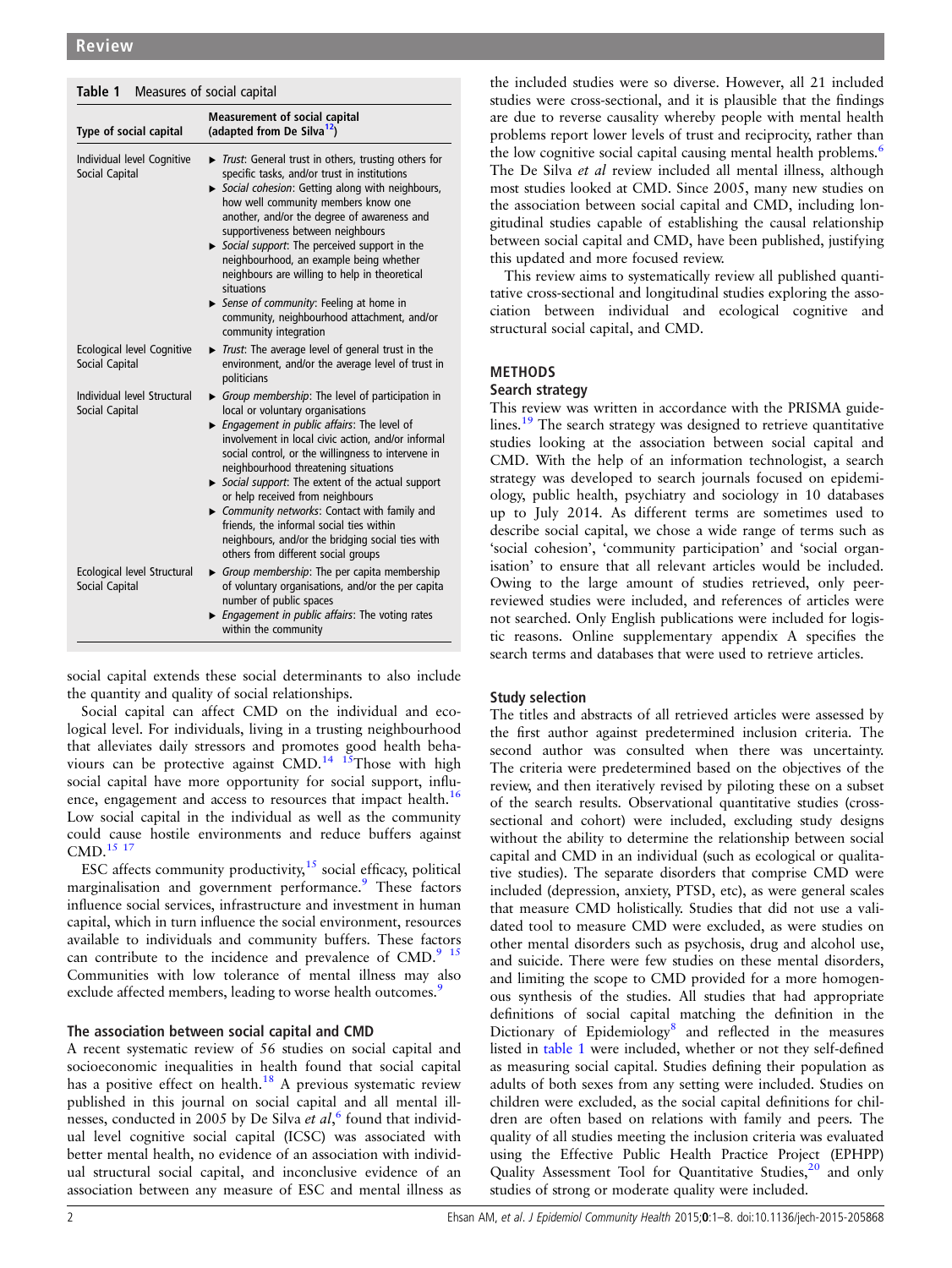$S<sub>0</sub>$ 

 $So$ 

Social Capital

<span id="page-2-0"></span>

| <b>Table 1</b> Measures of social capital    |                                                                                                                                                                                                                                                                                                                                                                                                                                                                                                                                                                                          |  |  |  |  |  |  |  |
|----------------------------------------------|------------------------------------------------------------------------------------------------------------------------------------------------------------------------------------------------------------------------------------------------------------------------------------------------------------------------------------------------------------------------------------------------------------------------------------------------------------------------------------------------------------------------------------------------------------------------------------------|--|--|--|--|--|--|--|
| Type of social capital                       | <b>Measurement of social capital</b><br>(adapted from De Silva <sup>12</sup> )                                                                                                                                                                                                                                                                                                                                                                                                                                                                                                           |  |  |  |  |  |  |  |
| Individual level Cognitive<br>Social Capital | ► <i>Trust</i> : General trust in others, trusting others for<br>specific tasks, and/or trust in institutions<br>Social cohesion: Getting along with neighbours,<br>how well community members know one<br>another, and/or the degree of awareness and<br>supportiveness between neighbours<br>$\triangleright$ Social support: The perceived support in the<br>neighbourhood, an example being whether<br>neighbours are willing to help in theoretical<br>situations<br>Sense of community: Feeling at home in<br>community, neighbourhood attachment, and/or<br>community integration |  |  |  |  |  |  |  |

| <b>Ecological level Cognitive</b><br>Social Capital | $\triangleright$ Trust: The average level of general trust in the<br>environment, and/or the average level of trust in<br>politicians                                                                                                                                                                                                                                                                                                                                                                                                                |
|-----------------------------------------------------|------------------------------------------------------------------------------------------------------------------------------------------------------------------------------------------------------------------------------------------------------------------------------------------------------------------------------------------------------------------------------------------------------------------------------------------------------------------------------------------------------------------------------------------------------|
| Individual level Structural<br>Social Capital       | $\triangleright$ Group membership: The level of participation in<br>local or voluntary organisations<br>$\mathcal{L} = \mathcal{L}$ and a set $\mathcal{L} = \mathcal{L} = \mathcal{L} = \mathcal{L} = \mathcal{L} = \mathcal{L} = \mathcal{L} = \mathcal{L} = \mathcal{L} = \mathcal{L} = \mathcal{L} = \mathcal{L} = \mathcal{L} = \mathcal{L} = \mathcal{L} = \mathcal{L} = \mathcal{L} = \mathcal{L} = \mathcal{L} = \mathcal{L} = \mathcal{L} = \mathcal{L} = \mathcal{L} = \mathcal{L} = \mathcal{L} = \mathcal{L} = \mathcal{L} = \mathcal{L$ |

|  | $\triangleright$ Engagement in public affairs: The level of |
|--|-------------------------------------------------------------|
|  | involvement in local civic action, and/or informal          |
|  | social control, or the willingness to intervene in          |
|  | neighbourhood threatening situations                        |
|  | Social support: The extent of the actual support            |
|  | or help received from neighbours                            |
|  | ► Community networks: Contact with family and               |
|  | friends, the informal social ties within                    |
|  | neighbours, and/or the bridging social ties with            |
|  | others from different social groups                         |
|  |                                                             |

Ecological level Structural  $\triangleright$  Group membership: The per capita membership of voluntary organisations, and/or the per capita number of public spaces  $\blacktriangleright$  Engagement in public affairs: The voting rates

within the community

social capital extends these social determinants to also include the quantity and quality of social relationships.

Social capital can affect CMD on the individual and ecological level. For individuals, living in a trusting neighbourhood that alleviates daily stressors and promotes good health beha-viours can be protective against CMD.<sup>[14 15](#page-7-0)</sup>Those with high social capital have more opportunity for social support, influence, engagement and access to resources that impact health.<sup>16</sup> Low social capital in the individual as well as the community could cause hostile environments and reduce buffers against CMD.<sup>15</sup> <sup>17</sup>

ESC affects community productivity, $15$  social efficacy, political marginalisation and government performance.<sup>[9](#page-7-0)</sup> These factors influence social services, infrastructure and investment in human capital, which in turn influence the social environment, resources available to individuals and community buffers. These factors can contribute to the incidence and prevalence of  $CMD.<sup>9</sup>$ <sup>15</sup> Communities with low tolerance of mental illness may also exclude affected members, leading to worse health outcomes.<sup>[9](#page-7-0)</sup>

## The association between social capital and CMD

A recent systematic review of 56 studies on social capital and socioeconomic inequalities in health found that social capital has a positive effect on health. $18$  A previous systematic review published in this journal on social capital and all mental illnesses, conducted in 2005 by De Silva et  $al$ ,  $\frac{6}{3}$  $\frac{6}{3}$  $\frac{6}{3}$  found that individual level cognitive social capital (ICSC) was associated with better mental health, no evidence of an association with individual structural social capital, and inconclusive evidence of an association between any measure of ESC and mental illness as

the included studies were so diverse. However, all 21 included studies were cross-sectional, and it is plausible that the findings are due to reverse causality whereby people with mental health problems report lower levels of trust and reciprocity, rather than the low cognitive social capital causing mental health problems. $\frac{6}{5}$  $\frac{6}{5}$  $\frac{6}{5}$ The De Silva et al review included all mental illness, although most studies looked at CMD. Since 2005, many new studies on the association between social capital and CMD, including longitudinal studies capable of establishing the causal relationship between social capital and CMD, have been published, justifying this updated and more focused review.

This review aims to systematically review all published quantitative cross-sectional and longitudinal studies exploring the association between individual and ecological cognitive and structural social capital, and CMD.

## METHODS

## Search strategy

This review was written in accordance with the PRISMA guidelines.[19](#page-8-0) The search strategy was designed to retrieve quantitative studies looking at the association between social capital and CMD. With the help of an information technologist, a search strategy was developed to search journals focused on epidemiology, public health, psychiatry and sociology in 10 databases up to July 2014. As different terms are sometimes used to describe social capital, we chose a wide range of terms such as 'social cohesion', 'community participation' and 'social organisation' to ensure that all relevant articles would be included. Owing to the large amount of studies retrieved, only peerreviewed studies were included, and references of articles were not searched. Only English publications were included for logistic reasons. Online supplementary appendix A specifies the search terms and databases that were used to retrieve articles.

## Study selection

The titles and abstracts of all retrieved articles were assessed by the first author against predetermined inclusion criteria. The second author was consulted when there was uncertainty. The criteria were predetermined based on the objectives of the review, and then iteratively revised by piloting these on a subset of the search results. Observational quantitative studies (crosssectional and cohort) were included, excluding study designs without the ability to determine the relationship between social capital and CMD in an individual (such as ecological or qualitative studies). The separate disorders that comprise CMD were included (depression, anxiety, PTSD, etc), as were general scales that measure CMD holistically. Studies that did not use a validated tool to measure CMD were excluded, as were studies on other mental disorders such as psychosis, drug and alcohol use, and suicide. There were few studies on these mental disorders, and limiting the scope to CMD provided for a more homogenous synthesis of the studies. All studies that had appropriate definitions of social capital matching the definition in the Dictionary of Epidemiology<sup>[8](#page-7-0)</sup> and reflected in the measures listed in table 1 were included, whether or not they self-defined as measuring social capital. Studies defining their population as adults of both sexes from any setting were included. Studies on children were excluded, as the social capital definitions for children are often based on relations with family and peers. The quality of all studies meeting the inclusion criteria was evaluated using the Effective Public Health Practice Project (EPHPP) Quality Assessment Tool for Quantitative Studies,<sup>[20](#page-8-0)</sup> and only studies of strong or moderate quality were included.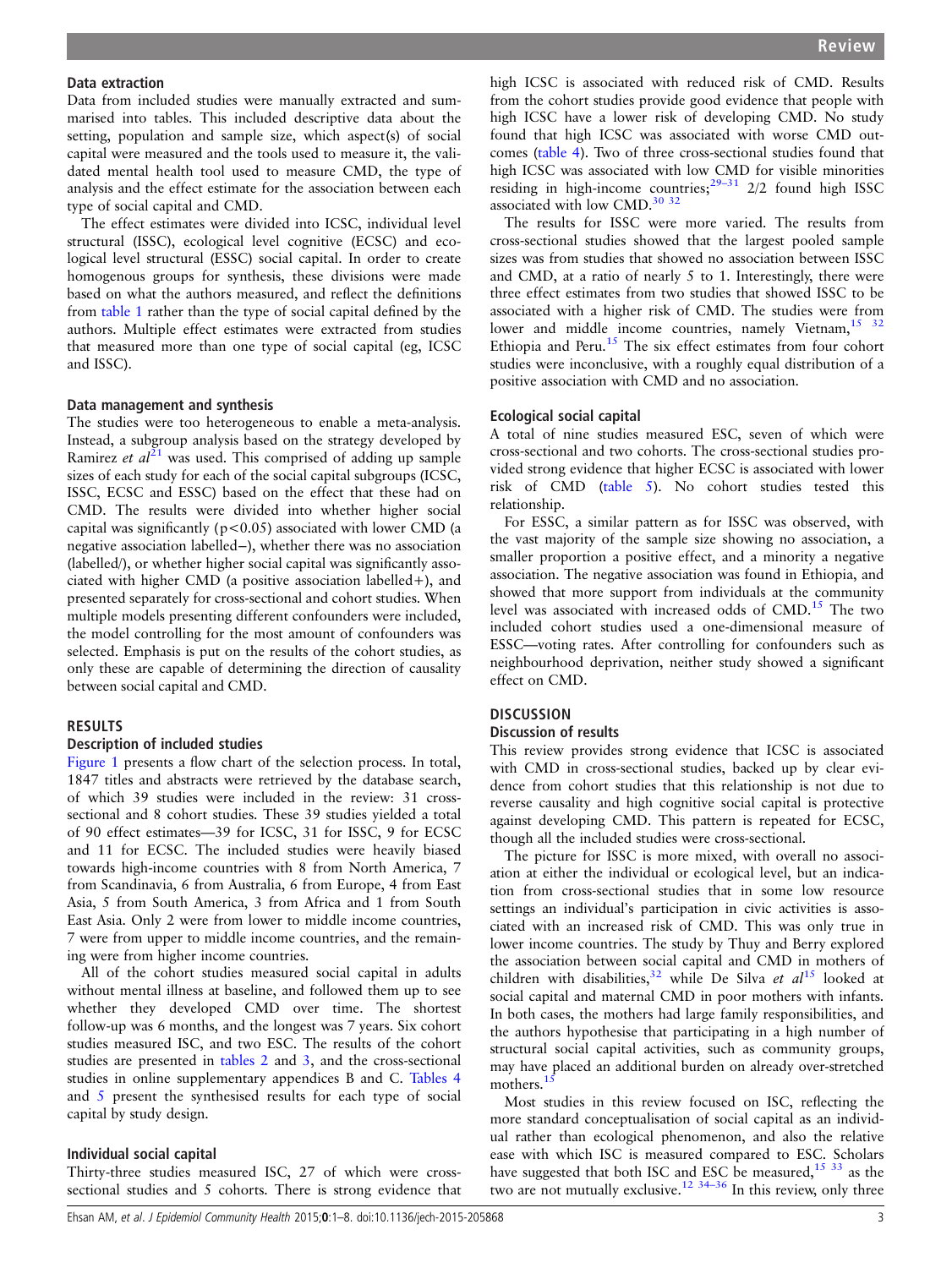#### Data extraction

Data from included studies were manually extracted and summarised into tables. This included descriptive data about the setting, population and sample size, which aspect(s) of social capital were measured and the tools used to measure it, the validated mental health tool used to measure CMD, the type of analysis and the effect estimate for the association between each type of social capital and CMD.

The effect estimates were divided into ICSC, individual level structural (ISSC), ecological level cognitive (ECSC) and ecological level structural (ESSC) social capital. In order to create homogenous groups for synthesis, these divisions were made based on what the authors measured, and reflect the definitions from [table 1](#page-2-0) rather than the type of social capital defined by the authors. Multiple effect estimates were extracted from studies that measured more than one type of social capital (eg, ICSC and ISSC).

#### Data management and synthesis

The studies were too heterogeneous to enable a meta-analysis. Instead, a subgroup analysis based on the strategy developed by Ramirez et  $al^{21}$  $al^{21}$  $al^{21}$  was used. This comprised of adding up sample sizes of each study for each of the social capital subgroups (ICSC, ISSC, ECSC and ESSC) based on the effect that these had on CMD. The results were divided into whether higher social capital was significantly ( $p < 0.05$ ) associated with lower CMD (a negative association labelled−), whether there was no association (labelled/), or whether higher social capital was significantly associated with higher CMD (a positive association labelled+), and presented separately for cross-sectional and cohort studies. When multiple models presenting different confounders were included, the model controlling for the most amount of confounders was selected. Emphasis is put on the results of the cohort studies, as only these are capable of determining the direction of causality between social capital and CMD.

## RESULTS

## Description of included studies

[Figure 1](#page-4-0) presents a flow chart of the selection process. In total, 1847 titles and abstracts were retrieved by the database search, of which 39 studies were included in the review: 31 crosssectional and 8 cohort studies. These 39 studies yielded a total of 90 effect estimates—39 for ICSC, 31 for ISSC, 9 for ECSC and 11 for ECSC. The included studies were heavily biased towards high-income countries with 8 from North America, 7 from Scandinavia, 6 from Australia, 6 from Europe, 4 from East Asia, 5 from South America, 3 from Africa and 1 from South East Asia. Only 2 were from lower to middle income countries, 7 were from upper to middle income countries, and the remaining were from higher income countries.

All of the cohort studies measured social capital in adults without mental illness at baseline, and followed them up to see whether they developed CMD over time. The shortest follow-up was 6 months, and the longest was 7 years. Six cohort studies measured ISC, and two ESC. The results of the cohort studies are presented in [tables 2](#page-5-0) and [3](#page-5-0), and the cross-sectional studies in online supplementary appendices B and C. [Tables 4](#page-6-0) and [5](#page-6-0) present the synthesised results for each type of social capital by study design.

#### Individual social capital

Thirty-three studies measured ISC, 27 of which were crosssectional studies and 5 cohorts. There is strong evidence that

high ICSC is associated with reduced risk of CMD. Results from the cohort studies provide good evidence that people with high ICSC have a lower risk of developing CMD. No study found that high ICSC was associated with worse CMD outcomes ([table 4](#page-6-0)). Two of three cross-sectional studies found that high ICSC was associated with low CMD for visible minorities residing in high-income countries; $29-31$  2/2 found high ISSC associated with low CMD.<sup>30 32</sup>

The results for ISSC were more varied. The results from cross-sectional studies showed that the largest pooled sample sizes was from studies that showed no association between ISSC and CMD, at a ratio of nearly 5 to 1. Interestingly, there were three effect estimates from two studies that showed ISSC to be associated with a higher risk of CMD. The studies were from lower and middle income countries, namely Vietnam,  $15\frac{32}{2}$ Ethiopia and Peru.<sup>[15](#page-7-0)</sup> The six effect estimates from four cohort studies were inconclusive, with a roughly equal distribution of a positive association with CMD and no association.

#### Ecological social capital

A total of nine studies measured ESC, seven of which were cross-sectional and two cohorts. The cross-sectional studies provided strong evidence that higher ECSC is associated with lower risk of CMD ([table 5\)](#page-6-0). No cohort studies tested this relationship.

For ESSC, a similar pattern as for ISSC was observed, with the vast majority of the sample size showing no association, a smaller proportion a positive effect, and a minority a negative association. The negative association was found in Ethiopia, and showed that more support from individuals at the community level was associated with increased odds of CMD.<sup>[15](#page-7-0)</sup> The two included cohort studies used a one-dimensional measure of ESSC—voting rates. After controlling for confounders such as neighbourhood deprivation, neither study showed a significant effect on CMD.

## **DISCUSSION**

## Discussion of results

This review provides strong evidence that ICSC is associated with CMD in cross-sectional studies, backed up by clear evidence from cohort studies that this relationship is not due to reverse causality and high cognitive social capital is protective against developing CMD. This pattern is repeated for ECSC, though all the included studies were cross-sectional.

The picture for ISSC is more mixed, with overall no association at either the individual or ecological level, but an indication from cross-sectional studies that in some low resource settings an individual's participation in civic activities is associated with an increased risk of CMD. This was only true in lower income countries. The study by Thuy and Berry explored the association between social capital and CMD in mothers of children with disabilities,  $32$  while De Silva et al<sup>[15](#page-7-0)</sup> looked at social capital and maternal CMD in poor mothers with infants. In both cases, the mothers had large family responsibilities, and the authors hypothesise that participating in a high number of structural social capital activities, such as community groups, may have placed an additional burden on already over-stretched mothers.

Most studies in this review focused on ISC, reflecting the more standard conceptualisation of social capital as an individual rather than ecological phenomenon, and also the relative ease with which ISC is measured compared to ESC. Scholars have suggested that both ISC and ESC be measured,  $15\frac{33}{15}$  $15\frac{33}{15}$  as the two are not mutually exclusive.<sup>[12](#page-7-0) 34–[36](#page-8-0)</sup> In this review, only three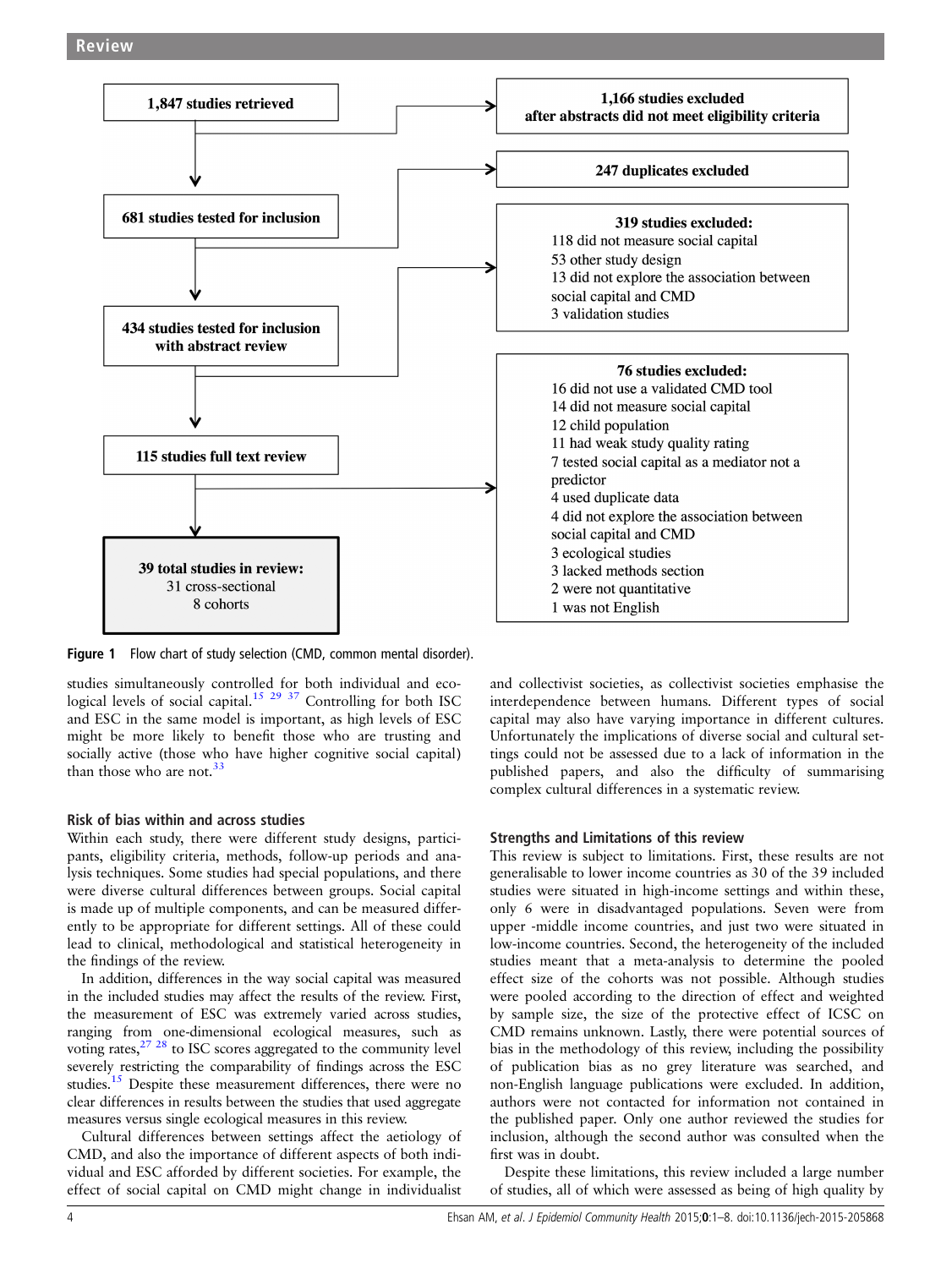<span id="page-4-0"></span>

Figure 1 Flow chart of study selection (CMD, common mental disorder).

studies simultaneously controlled for both individual and eco-logical levels of social capital.<sup>15 [29 37](#page-8-0)</sup> Controlling for both ISC and ESC in the same model is important, as high levels of ESC might be more likely to benefit those who are trusting and socially active (those who have higher cognitive social capital) than those who are not. $33$ 

## Risk of bias within and across studies

Within each study, there were different study designs, participants, eligibility criteria, methods, follow-up periods and analysis techniques. Some studies had special populations, and there were diverse cultural differences between groups. Social capital is made up of multiple components, and can be measured differently to be appropriate for different settings. All of these could lead to clinical, methodological and statistical heterogeneity in the findings of the review.

In addition, differences in the way social capital was measured in the included studies may affect the results of the review. First, the measurement of ESC was extremely varied across studies, ranging from one-dimensional ecological measures, such as voting rates[,27 28](#page-8-0) to ISC scores aggregated to the community level severely restricting the comparability of findings across the ESC studies.<sup>15</sup> Despite these measurement differences, there were no clear differences in results between the studies that used aggregate measures versus single ecological measures in this review.

Cultural differences between settings affect the aetiology of CMD, and also the importance of different aspects of both individual and ESC afforded by different societies. For example, the effect of social capital on CMD might change in individualist and collectivist societies, as collectivist societies emphasise the interdependence between humans. Different types of social capital may also have varying importance in different cultures. Unfortunately the implications of diverse social and cultural settings could not be assessed due to a lack of information in the published papers, and also the difficulty of summarising complex cultural differences in a systematic review.

## Strengths and Limitations of this review

This review is subject to limitations. First, these results are not generalisable to lower income countries as 30 of the 39 included studies were situated in high-income settings and within these, only 6 were in disadvantaged populations. Seven were from upper -middle income countries, and just two were situated in low-income countries. Second, the heterogeneity of the included studies meant that a meta-analysis to determine the pooled effect size of the cohorts was not possible. Although studies were pooled according to the direction of effect and weighted by sample size, the size of the protective effect of ICSC on CMD remains unknown. Lastly, there were potential sources of bias in the methodology of this review, including the possibility of publication bias as no grey literature was searched, and non-English language publications were excluded. In addition, authors were not contacted for information not contained in the published paper. Only one author reviewed the studies for inclusion, although the second author was consulted when the first was in doubt.

Despite these limitations, this review included a large number of studies, all of which were assessed as being of high quality by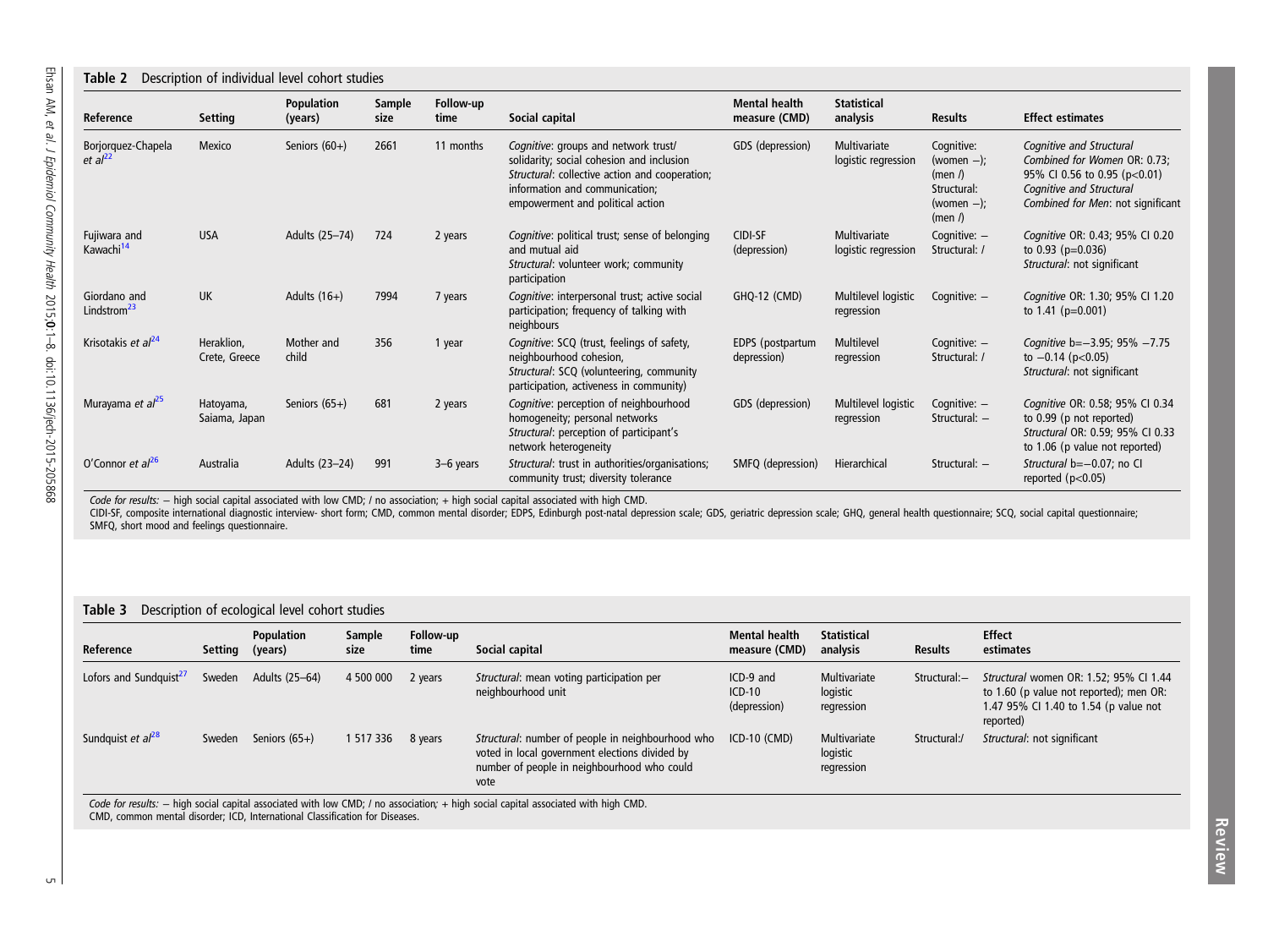#### <span id="page-5-0"></span>Table 2 Description of individual level cohort studies

| Reference                                 | Setting                     | <b>Population</b><br>(years) | Sample<br>size | Follow-up<br>time | Social capital                                                                                                                                                                                            | <b>Mental health</b><br>measure (CMD) | <b>Statistical</b><br>analysis      | <b>Results</b>                                                                | <b>Effect estimates</b>                                                                                                                                          |
|-------------------------------------------|-----------------------------|------------------------------|----------------|-------------------|-----------------------------------------------------------------------------------------------------------------------------------------------------------------------------------------------------------|---------------------------------------|-------------------------------------|-------------------------------------------------------------------------------|------------------------------------------------------------------------------------------------------------------------------------------------------------------|
| Borjorquez-Chapela<br>et al <sup>22</sup> | Mexico                      | Seniors $(60+)$              | 2661           | 11 months         | Cognitive: groups and network trust/<br>solidarity; social cohesion and inclusion<br>Structural: collective action and cooperation;<br>information and communication;<br>empowerment and political action | GDS (depression)                      | Multivariate<br>logistic regression | Cognitive:<br>(women $-$ );<br>(men/<br>Structural:<br>(women $-$ );<br>(men) | Cognitive and Structural<br>Combined for Women OR: 0.73;<br>95% CI 0.56 to 0.95 (p<0.01)<br><b>Cognitive and Structural</b><br>Combined for Men: not significant |
| Fujiwara and<br>Kawachi <sup>14</sup>     | <b>USA</b>                  | Adults (25-74)               | 724            | 2 years           | Cognitive: political trust; sense of belonging<br>and mutual aid<br>Structural: volunteer work; community<br>participation                                                                                | CIDI-SF<br>(depression)               | Multivariate<br>logistic regression | Cognitive: -<br>Structural: /                                                 | Cognitive OR: 0.43; 95% CI 0.20<br>to $0.93$ ( $p=0.036$ )<br>Structural: not significant                                                                        |
| Giordano and<br>Lindstrom <sup>23</sup>   | <b>UK</b>                   | Adults $(16+)$               | 7994           | 7 years           | Cognitive: interpersonal trust; active social<br>participation; frequency of talking with<br>neighbours                                                                                                   | GHQ-12 (CMD)                          | Multilevel logistic<br>regression   | Cognitive: $-$                                                                | Cognitive OR: 1.30; 95% CI 1.20<br>to $1.41$ ( $p=0.001$ )                                                                                                       |
| Krisotakis et al <sup>24</sup>            | Heraklion,<br>Crete, Greece | Mother and<br>child          | 356            | 1 year            | Cognitive: SCQ (trust, feelings of safety,<br>neighbourhood cohesion,<br>Structural: SCQ (volunteering, community<br>participation, activeness in community)                                              | EDPS (postpartum<br>depression)       | Multilevel<br>regression            | Cognitive: $-$<br>Structural: /                                               | Cognitive $b = -3.95$ ; 95% $-7.75$<br>to $-0.14$ (p $< 0.05$ )<br>Structural: not significant                                                                   |
| Murayama et al <sup>25</sup>              | Hatoyama,<br>Saiama, Japan  | Seniors $(65+)$              | 681            | 2 years           | Cognitive: perception of neighbourhood<br>homogeneity; personal networks<br>Structural: perception of participant's<br>network heterogeneity                                                              | GDS (depression)                      | Multilevel logistic<br>regression   | Cognitive: $-$<br>Structural: $-$                                             | Cognitive OR: 0.58; 95% CI 0.34<br>to 0.99 (p not reported)<br>Structural OR: 0.59; 95% CI 0.33<br>to 1.06 (p value not reported)                                |
| O'Connor et al <sup>26</sup>              | Australia                   | Adults (23-24)               | 991            | 3-6 years         | Structural: trust in authorities/organisations;<br>community trust; diversity tolerance                                                                                                                   | SMFQ (depression)                     | Hierarchical                        | Structural: $-$                                                               | Structural b=-0.07; no CI<br>reported $(p<0.05)$                                                                                                                 |

*Code for results:* — high social capital associated with low CMD; / no association; + high social capital associated with high CMD.<br>CIDI-SF, composite international diagnostic interview- short form; CMD, common mental dis

#### Table 3 Description of ecological level cohort studies

| Reference                          | Setting | Population<br>(years) | Sample<br>size | Follow-up<br>time | Social capital                                                                                                                                             | <b>Mental health</b><br>measure (CMD) | <b>Statistical</b><br>analysis         | <b>Results</b> | <b>Effect</b><br>estimates                                                                                                              |
|------------------------------------|---------|-----------------------|----------------|-------------------|------------------------------------------------------------------------------------------------------------------------------------------------------------|---------------------------------------|----------------------------------------|----------------|-----------------------------------------------------------------------------------------------------------------------------------------|
| Lofors and Sundquist <sup>27</sup> | Sweden  | Adults (25–64)        | 4 500 000      | 2 years           | Structural: mean voting participation per<br>neighbourhood unit                                                                                            | ICD-9 and<br>$ICD-10$<br>(depression) | Multivariate<br>logistic<br>regression | Structural:-   | Structural women OR: 1.52; 95% CI 1.44<br>to 1.60 (p value not reported); men OR:<br>1.47 95% CI 1.40 to 1.54 (p value not<br>reported) |
| Sundquist et al <sup>28</sup>      | Sweden  | Seniors $(65+)$       | 1 517 336      | 8 vears           | Structural: number of people in neighbourhood who<br>voted in local government elections divided by<br>number of people in neighbourhood who could<br>vote | ICD-10 (CMD)                          | Multivariate<br>logistic<br>regression | Structural:/   | Structural: not significant                                                                                                             |

Code for results: - high social capital associated with low CMD; / no association; + high social capital associated with high CMD.

CMD, common mental disorder; ICD, International Classification for Diseases.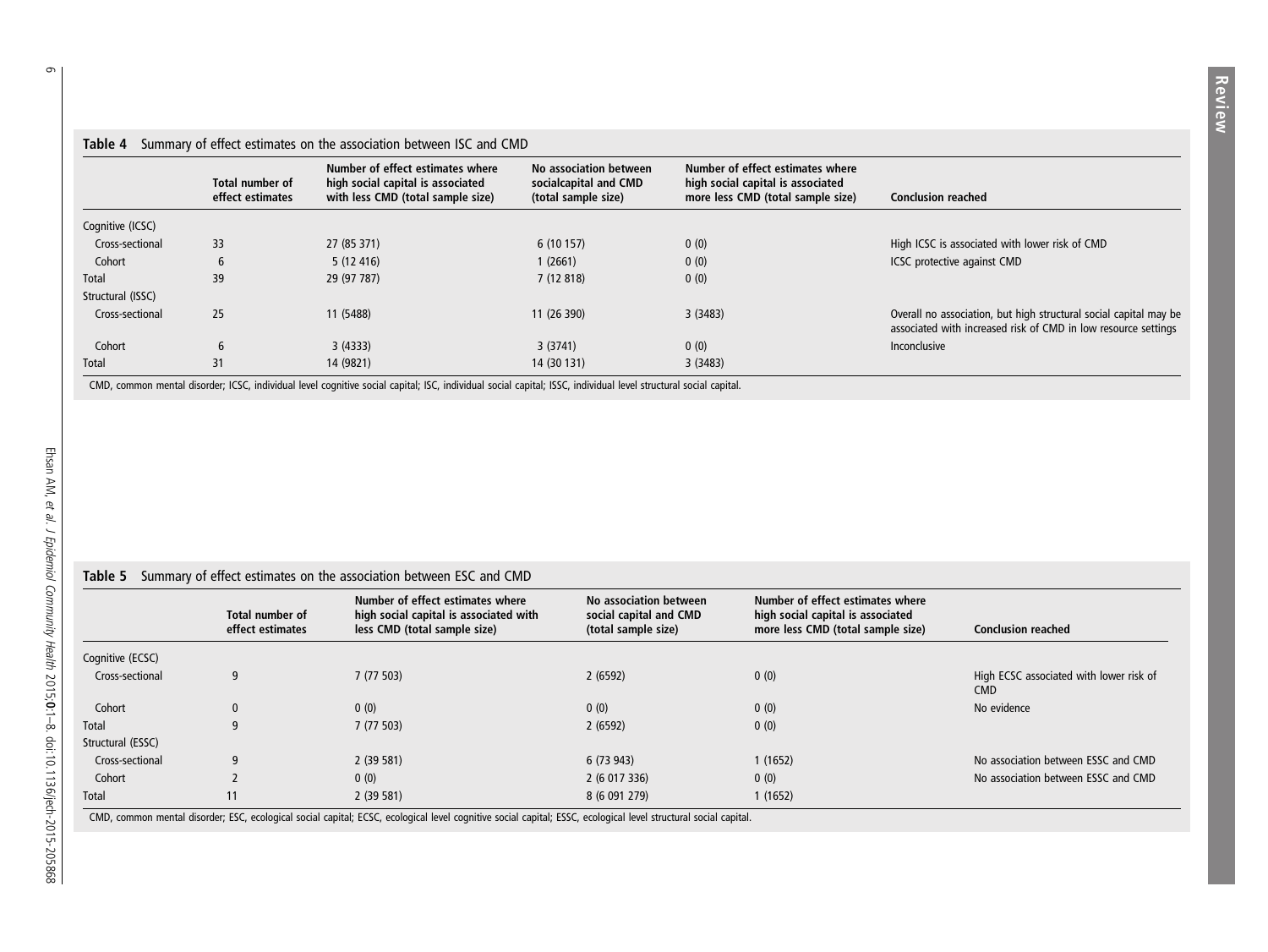#### <span id="page-6-0"></span>Table 4 Summary of effect estimates on the association between ISC and CMD Total number of effect estimates Number of effect estimates where high social capital is associated with less CMD (total sample size) No association between socialcapital and CMD (total sample size) Number of effect estimates where high social capital is associated more less CMD (total sample size) Conclusion reached Cognitive (ICSC) Cross-sectional 33 27 (85 371) 27 (85 371) 6 (10 157) 6 (10 157) 0 (0) High ICSC is associated with lower risk of CMD Cohort 6 5 (12 416) 5 (12 416) 1 (2661) 0 (0) 0 CSC protective against CMD Total 39 29 (97 787) 7 (12 818) 0 (0) Structural (ISSC) Cross-sectional 25 11 (5488) 11 (5488) 11 (26 390) 3 (3483) Overall no association, but high structural social capital may be associated with increased risk of CMD in low resource settings Cohort 6 3 (4333) 3 (3741) 0 (0) Cohort 5 (376 ) Inconclusive Total 31 14 (9821) 14 (30 131) 3 (3483)

CMD, common mental disorder; ICSC, individual level cognitive social capital; ISC, individual social capital; ISSC, individual level structural social capital.

| Table 5<br>Summary of effect estimates on the association between ESC and CMD |                                     |                                                                                                            |                                                                         |                                                                                                            |                                                |  |  |  |  |
|-------------------------------------------------------------------------------|-------------------------------------|------------------------------------------------------------------------------------------------------------|-------------------------------------------------------------------------|------------------------------------------------------------------------------------------------------------|------------------------------------------------|--|--|--|--|
|                                                                               | Total number of<br>effect estimates | Number of effect estimates where<br>high social capital is associated with<br>less CMD (total sample size) | No association between<br>social capital and CMD<br>(total sample size) | Number of effect estimates where<br>high social capital is associated<br>more less CMD (total sample size) | <b>Conclusion reached</b>                      |  |  |  |  |
| Cognitive (ECSC)                                                              |                                     |                                                                                                            |                                                                         |                                                                                                            |                                                |  |  |  |  |
| Cross-sectional                                                               | 9                                   | 7(77503)                                                                                                   | 2(6592)                                                                 | 0(0)                                                                                                       | High ECSC associated with lower risk of<br>CMD |  |  |  |  |
| Cohort                                                                        | $\mathbf{0}$                        | 0(0)                                                                                                       | 0(0)                                                                    | 0(0)                                                                                                       | No evidence                                    |  |  |  |  |
| Total                                                                         | 9                                   | 7(77503)                                                                                                   | 2(6592)                                                                 | 0(0)                                                                                                       |                                                |  |  |  |  |
| Structural (ESSC)                                                             |                                     |                                                                                                            |                                                                         |                                                                                                            |                                                |  |  |  |  |
| Cross-sectional                                                               | 9                                   | 2(39581)                                                                                                   | 6 (73 943)                                                              | 1(1652)                                                                                                    | No association between ESSC and CMD            |  |  |  |  |
| Cohort                                                                        |                                     | 0(0)                                                                                                       | 2 (6 017 336)                                                           | 0(0)                                                                                                       | No association between ESSC and CMD            |  |  |  |  |
| Total                                                                         |                                     | 2(39581)                                                                                                   | 8 (6 091 279)                                                           | 1(1652)                                                                                                    |                                                |  |  |  |  |

CMD, common mental disorder; ESC, ecological social capital; ECSC, ecological level cognitive social capital; ESSC, ecological level structural social capital.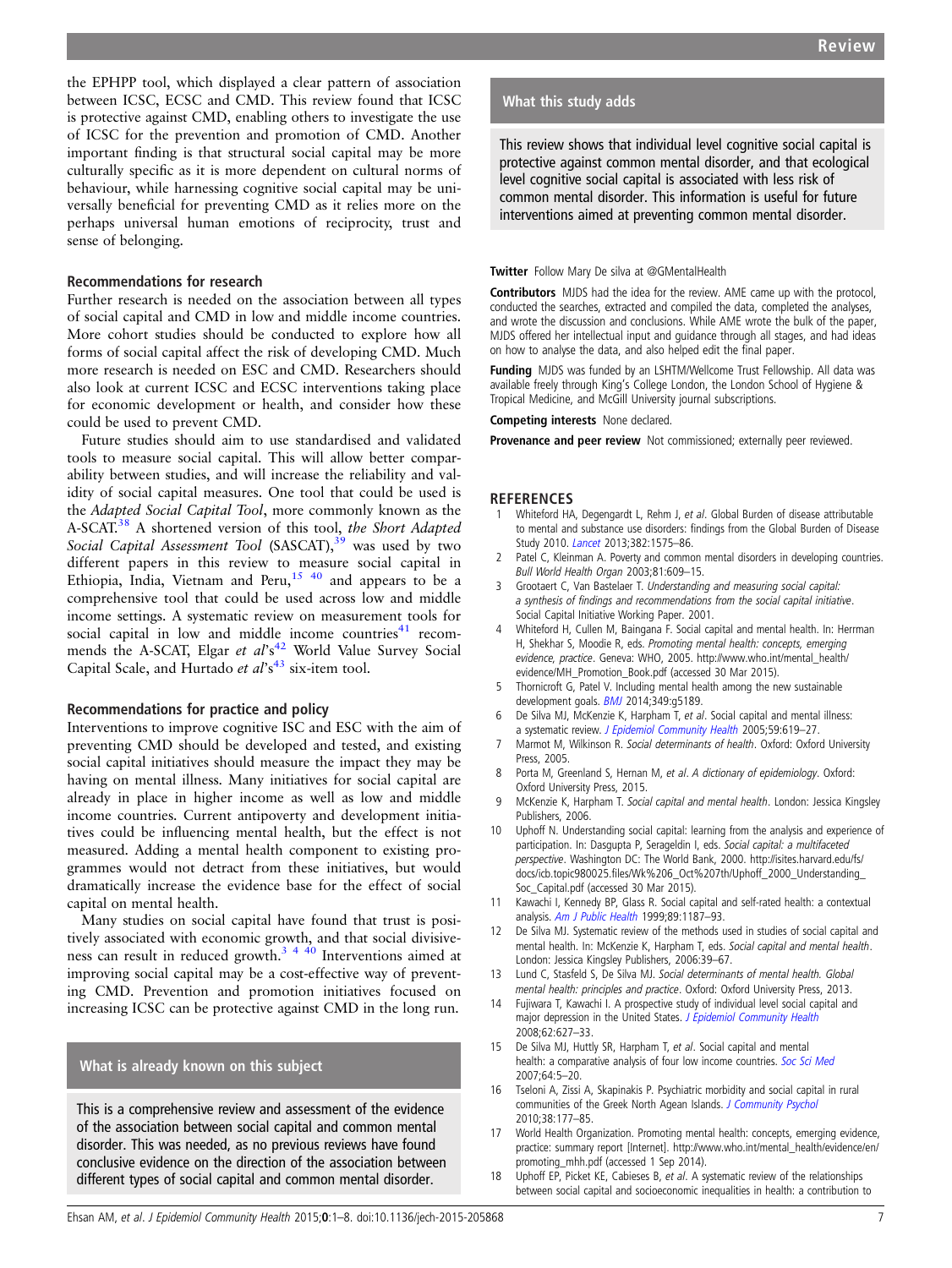<span id="page-7-0"></span>the EPHPP tool, which displayed a clear pattern of association between ICSC, ECSC and CMD. This review found that ICSC is protective against CMD, enabling others to investigate the use of ICSC for the prevention and promotion of CMD. Another important finding is that structural social capital may be more culturally specific as it is more dependent on cultural norms of behaviour, while harnessing cognitive social capital may be universally beneficial for preventing CMD as it relies more on the perhaps universal human emotions of reciprocity, trust and sense of belonging.

#### Recommendations for research

Further research is needed on the association between all types of social capital and CMD in low and middle income countries. More cohort studies should be conducted to explore how all forms of social capital affect the risk of developing CMD. Much more research is needed on ESC and CMD. Researchers should also look at current ICSC and ECSC interventions taking place for economic development or health, and consider how these could be used to prevent CMD.

Future studies should aim to use standardised and validated tools to measure social capital. This will allow better comparability between studies, and will increase the reliability and validity of social capital measures. One tool that could be used is the Adapted Social Capital Tool, more commonly known as the A-SCAT.<sup>[38](#page-8-0)</sup> A shortened version of this tool, the Short Adapted Social Capital Assessment Tool (SASCAT),<sup>[39](#page-8-0)</sup> was used by two different papers in this review to measure social capital in Ethiopia, India, Vietnam and Peru, $15\frac{40}{1}$  and appears to be a comprehensive tool that could be used across low and middle income settings. A systematic review on measurement tools for social capital in low and middle income countries<sup>41</sup> recom-mends the A-SCAT, Elgar et al's<sup>[42](#page-8-0)</sup> World Value Survey Social Capital Scale, and Hurtado et al's<sup>[43](#page-8-0)</sup> six-item tool.

#### Recommendations for practice and policy

Interventions to improve cognitive ISC and ESC with the aim of preventing CMD should be developed and tested, and existing social capital initiatives should measure the impact they may be having on mental illness. Many initiatives for social capital are already in place in higher income as well as low and middle income countries. Current antipoverty and development initiatives could be influencing mental health, but the effect is not measured. Adding a mental health component to existing programmes would not detract from these initiatives, but would dramatically increase the evidence base for the effect of social capital on mental health.

Many studies on social capital have found that trust is positively associated with economic growth, and that social divisive-ness can result in reduced growth.<sup>3</sup> <sup>4 [40](#page-8-0)</sup> Interventions aimed at improving social capital may be a cost-effective way of preventing CMD. Prevention and promotion initiatives focused on increasing ICSC can be protective against CMD in the long run.

## What is already known on this subject

This is a comprehensive review and assessment of the evidence of the association between social capital and common mental disorder. This was needed, as no previous reviews have found conclusive evidence on the direction of the association between different types of social capital and common mental disorder.

This review shows that individual level cognitive social capital is protective against common mental disorder, and that ecological level cognitive social capital is associated with less risk of common mental disorder. This information is useful for future interventions aimed at preventing common mental disorder.

#### Twitter Follow Mary De silva at [@GMentalHealth](http://twitter.com/GMentalHealth)

Contributors MJDS had the idea for the review. AME came up with the protocol, conducted the searches, extracted and compiled the data, completed the analyses, and wrote the discussion and conclusions. While AME wrote the bulk of the paper, MJDS offered her intellectual input and guidance through all stages, and had ideas on how to analyse the data, and also helped edit the final paper.

Funding MJDS was funded by an LSHTM/Wellcome Trust Fellowship. All data was available freely through King's College London, the London School of Hygiene & Tropical Medicine, and McGill University journal subscriptions.

#### Competing interests None declared.

Provenance and peer review Not commissioned; externally peer reviewed.

#### **REFERENCES**

- 1 Whiteford HA, Degengardt L, Rehm J, et al. Global Burden of disease attributable to mental and substance use disorders: findings from the Global Burden of Disease Study 2010. [Lancet](http://dx.doi.org/10.1016/S0140-6736(13)61611-6) 2013;382:1575-86.
- 2 Patel C, Kleinman A. Poverty and common mental disorders in developing countries. Bull World Health Organ 2003;81:609–15.
- 3 Grootaert C, Van Bastelaer T. Understanding and measuring social capital: a synthesis of findings and recommendations from the social capital initiative. Social Capital Initiative Working Paper. 2001.
- 4 Whiteford H, Cullen M, Baingana F. Social capital and mental health. In: Herrman H, Shekhar S, Moodie R, eds. Promoting mental health: concepts, emerging evidence, practice. Geneva: WHO, 2005. [http://www.who.int/mental\\_health/](http://www.who.int/mental_health/evidence/MH_Promotion_Book.pdf) [evidence/MH\\_Promotion\\_Book.pdf](http://www.who.int/mental_health/evidence/MH_Promotion_Book.pdf) (accessed 30 Mar 2015).
- 5 Thornicroft G, Patel V. Including mental health among the new sustainable development goals. **[BMJ](http://dx.doi.org/10.1136/bmj.g5189)** 2014;349:g5189.
- De Silva MJ, McKenzie K, Harpham T, et al. Social capital and mental illness: a systematic review. [J Epidemiol Community Health](http://dx.doi.org/10.1136/jech.2004.029678) 2005;59:619-27.
- 7 Marmot M, Wilkinson R. Social determinants of health. Oxford: Oxford University Press, 2005.
- 8 Porta M, Greenland S, Hernan M, et al. A dictionary of epidemiology. Oxford: Oxford University Press, 2015.
- 9 McKenzie K, Harpham T. Social capital and mental health. London: Jessica Kingsley Publishers, 2006.
- 10 Uphoff N. Understanding social capital: learning from the analysis and experience of participation. In: Dasgupta P, Serageldin I, eds. Social capital: a multifaceted perspective. Washington DC: The World Bank, 2000. [http://isites.harvard.edu/fs/](http://isites.harvard.edu/fs/docs/icb.topic980025.files/Wk%206_Oct%207th/Uphoff_2000_Understanding_Soc_Capital.pdf) docs/icb.topic980025.fi[les/Wk%206\\_Oct%207th/Uphoff\\_2000\\_Understanding\\_](http://isites.harvard.edu/fs/docs/icb.topic980025.files/Wk%206_Oct%207th/Uphoff_2000_Understanding_Soc_Capital.pdf) [Soc\\_Capital.pdf](http://isites.harvard.edu/fs/docs/icb.topic980025.files/Wk%206_Oct%207th/Uphoff_2000_Understanding_Soc_Capital.pdf) (accessed 30 Mar 2015).
- 11 Kawachi I, Kennedy BP, Glass R. Social capital and self-rated health: a contextual analysis. [Am J Public Health](http://dx.doi.org/10.2105/AJPH.89.8.1187) 1999;89:1187-93.
- 12 De Silva MJ. Systematic review of the methods used in studies of social capital and mental health. In: McKenzie K, Harpham T, eds. Social capital and mental health. London: Jessica Kingsley Publishers, 2006:39–67.
- 13 Lund C, Stasfeld S, De Silva MJ. Social determinants of mental health. Global mental health: principles and practice. Oxford: Oxford University Press, 2013.
- 14 Fujiwara T, Kawachi I. A prospective study of individual level social capital and major depression in the United States. [J Epidemiol Community Health](http://dx.doi.org/10.1136/jech.2007.064261) 2008;62:627–33.
- 15 De Silva MJ, Huttly SR, Harpham T, et al. Social capital and mental health: a comparative analysis of four low income countries. [Soc Sci Med](http://dx.doi.org/10.1016/j.socscimed.2006.08.044) 2007;64:5–20.
- 16 Tseloni A, Zissi A, Skapinakis P. Psychiatric morbidity and social capital in rural communities of the Greek North Agean Islands. [J Community Psychol](http://dx.doi.org/10.1002/jcop.20414) 2010;38:177–85.
- 17 World Health Organization. Promoting mental health: concepts, emerging evidence, practice: summary report [Internet]. [http://www.who.int/mental\\_health/evidence/en/](http://www.who.int/mental_health/evidence/en/promoting_mhh.pdf) [promoting\\_mhh.pdf](http://www.who.int/mental_health/evidence/en/promoting_mhh.pdf) (accessed 1 Sep 2014).
- 18 Uphoff EP, Picket KE, Cabieses B, et al. A systematic review of the relationships between social capital and socioeconomic inequalities in health: a contribution to